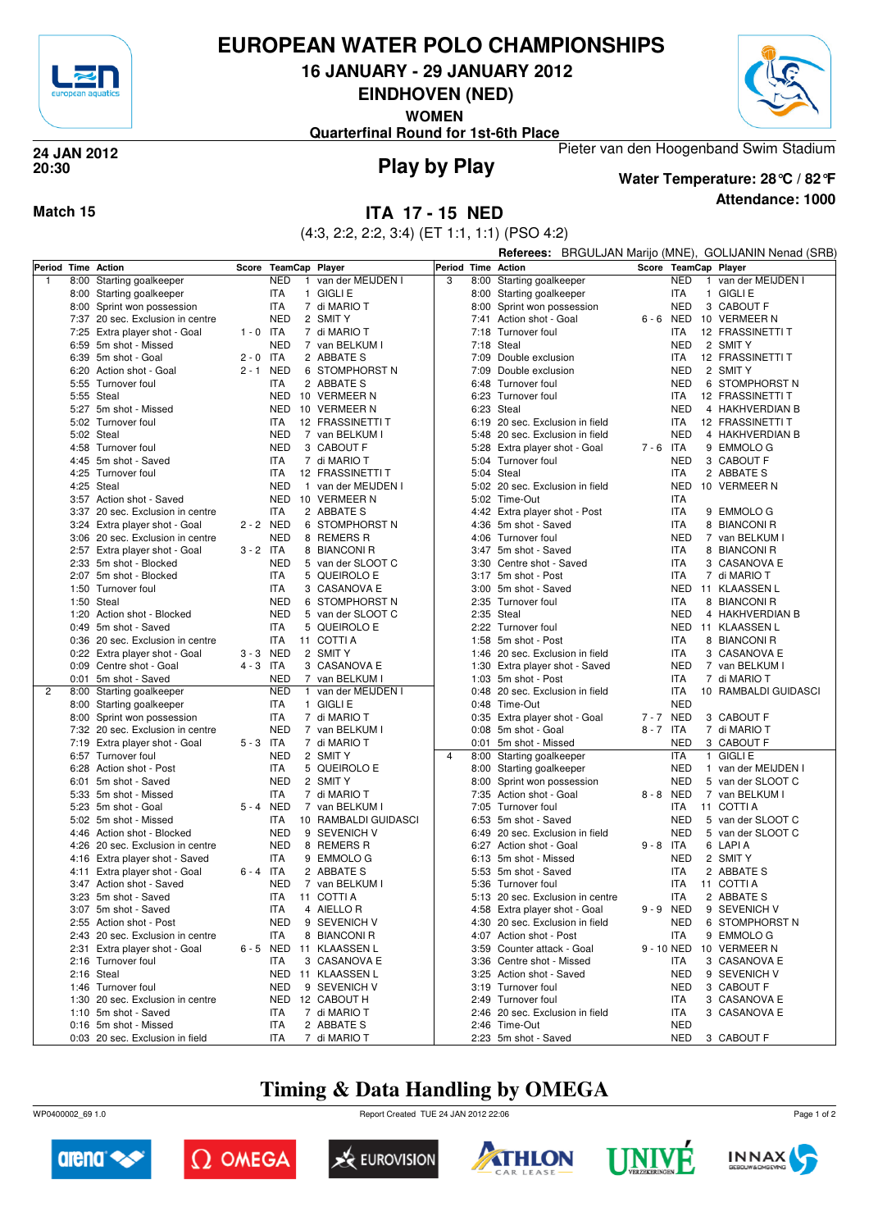

#### **EUROPEAN WATER POLO CHAMPIONSHIPS**

**16 JANUARY - 29 JANUARY 2012**

**EINDHOVEN (NED)**

**WOMEN**

Pieter van den Hoogenband Swim Stadium **Quarterfinal Round for 1st-6th Place**



## **20:30**

# **Play by Play 24 JAN 2012**

#### **Attendance: 1000 Water Temperature: 28°C / 82°F**

#### **Match 15 ITA 17 - 15 NED**

(4:3, 2:2, 2:2, 3:4) (ET 1:1, 1:1) (PSO 4:2)

|                |      |                                                                   |                      |                          |              |                                |                    |            |                                                                                                           |             |                      |            |                 | Referees: BRGULJAN Marijo (MNE), GOLIJANIN Nenad (SRB) |  |  |  |
|----------------|------|-------------------------------------------------------------------|----------------------|--------------------------|--------------|--------------------------------|--------------------|------------|-----------------------------------------------------------------------------------------------------------|-------------|----------------------|------------|-----------------|--------------------------------------------------------|--|--|--|
|                |      | Period Time Action                                                | Score TeamCap Player |                          |              |                                | Period Time Action |            |                                                                                                           |             |                      |            |                 | Score TeamCap Player                                   |  |  |  |
| 1              |      | 8:00 Starting goalkeeper                                          |                      | <b>NED</b>               |              | 1 van der MEIJDEN I            |                    |            | 8:00 Starting goalkeeper                                                                                  |             |                      | <b>NED</b> | $\mathbf{1}$    | van der MEIJDEN I                                      |  |  |  |
|                |      | 8:00 Starting goalkeeper                                          |                      | <b>ITA</b>               |              | 1 GIGLI E                      |                    |            | 8:00 Starting goalkeeper                                                                                  |             |                      | <b>ITA</b> |                 | 1 GIGLI E                                              |  |  |  |
|                |      | 8:00 Sprint won possession                                        |                      | <b>ITA</b>               |              | 7 di MARIO T                   |                    |            | 8:00 Sprint won possession                                                                                |             |                      | <b>NED</b> |                 | 3 CABOUT F                                             |  |  |  |
|                |      | 7:37 20 sec. Exclusion in centre                                  |                      | <b>NED</b>               |              | 2 SMIT Y                       |                    |            | 7:41 Action shot - Goal                                                                                   |             | 6-6 NED              |            |                 | 10 VERMEER N                                           |  |  |  |
|                |      | 7:25 Extra player shot - Goal                                     | $1 - 0$ ITA          |                          |              | 7 di MARIO T                   |                    |            | 7:18 Turnover foul                                                                                        |             |                      | ITA        |                 | 12 FRASSINETTI T                                       |  |  |  |
|                |      | 6:59 5m shot - Missed                                             |                      | <b>NED</b>               |              | 7 van BELKUM I                 |                    | 7:18 Steal |                                                                                                           |             |                      | <b>NED</b> |                 | 2 SMIT Y                                               |  |  |  |
|                |      | 6:39 5m shot - Goal                                               | $2 - 0$              | <b>ITA</b>               |              | 2 ABBATE S                     |                    | 7:09       | Double exclusion                                                                                          |             |                      | ITA        |                 | 12 FRASSINETTI T                                       |  |  |  |
|                |      | 6:20 Action shot - Goal                                           | 2-1 NED              |                          |              | 6 STOMPHORST N                 |                    | 7:09       | Double exclusion                                                                                          |             |                      | <b>NED</b> |                 | 2 SMIT Y                                               |  |  |  |
|                |      | 5:55 Turnover foul                                                |                      | ITA                      |              | 2 ABBATE S                     |                    | 6:48       | Turnover foul                                                                                             |             |                      | <b>NED</b> |                 | 6 STOMPHORST N                                         |  |  |  |
|                |      | 5:55 Steal                                                        |                      |                          |              | NED 10 VERMEER N               |                    | 6:23       | Turnover foul                                                                                             |             |                      | <b>ITA</b> |                 | 12 FRASSINETTI T                                       |  |  |  |
|                |      | 5:27 5m shot - Missed                                             |                      |                          |              | NED 10 VERMEER N               |                    |            | 6:23 Steal                                                                                                |             |                      | <b>NED</b> |                 | 4 HAKHVERDIAN B                                        |  |  |  |
|                |      | 5:02 Turnover foul                                                |                      | <b>ITA</b>               |              | 12 FRASSINETTI T               |                    |            | 6:19 20 sec. Exclusion in field                                                                           |             |                      | <b>ITA</b> |                 | 12 FRASSINETTI T                                       |  |  |  |
|                |      | 5:02 Steal                                                        |                      | <b>NED</b>               |              | 7 van BELKUM I                 |                    | 5:48       | 20 sec. Exclusion in field                                                                                | $7 - 6$ ITA | <b>NED</b>           |            | 4 HAKHVERDIAN B |                                                        |  |  |  |
|                |      | 4:58 Turnover foul                                                |                      | <b>NED</b>               |              | 3 CABOUT F                     |                    | 5:28       | Extra player shot - Goal                                                                                  |             |                      |            |                 | 9 EMMOLO G                                             |  |  |  |
|                |      | 4:45 5m shot - Saved                                              |                      | <b>ITA</b>               |              | 7 di MARIO T                   |                    | 5:04       | Turnover foul                                                                                             |             | <b>NED</b>           |            | 3 CABOUT F      |                                                        |  |  |  |
|                |      | 4:25 Turnover foul                                                |                      | <b>ITA</b>               |              | 12 FRASSINETTI T               |                    |            | 5:04 Steal                                                                                                |             | <b>ITA</b>           |            | 2 ABBATE S      |                                                        |  |  |  |
|                |      | 4:25 Steal                                                        |                      | <b>NED</b>               |              | 1 van der MEIJDEN I            |                    |            | 5:02 20 sec. Exclusion in field<br>5:02 Time-Out<br>4:42 Extra player shot - Post<br>4:36 5m shot - Saved |             |                      | <b>NED</b> |                 | 10 VERMEER N                                           |  |  |  |
|                |      | 3:57 Action shot - Saved                                          |                      |                          |              | NED 10 VERMEER N               |                    |            |                                                                                                           |             |                      | <b>ITA</b> |                 |                                                        |  |  |  |
|                |      | 3:37 20 sec. Exclusion in centre                                  |                      | ITA                      |              | 2 ABBATE S                     |                    |            |                                                                                                           |             |                      | <b>ITA</b> |                 | 9 EMMOLO G                                             |  |  |  |
|                |      | 3:24 Extra player shot - Goal                                     | 2 - 2 NED            |                          | 6            | STOMPHORST N                   |                    |            |                                                                                                           |             |                      | ITA        |                 | 8 BIANCONI R                                           |  |  |  |
|                |      | 3:06 20 sec. Exclusion in centre                                  |                      | <b>NED</b>               |              | 8 REMERS R                     |                    |            | 4:06 Turnover foul                                                                                        |             |                      | <b>NED</b> |                 | 7 van BELKUM I                                         |  |  |  |
|                |      | 2:57 Extra player shot - Goal                                     | $3 - 2$ ITA          |                          |              | 8 BIANCONI R                   |                    |            | 3:47 5m shot - Saved                                                                                      |             |                      | <b>ITA</b> |                 | 8 BIANCONI R                                           |  |  |  |
|                |      | 2:33 5m shot - Blocked                                            |                      | <b>NED</b>               |              | 5 van der SLOOT C              |                    |            | 3:30 Centre shot - Saved                                                                                  |             |                      | <b>ITA</b> |                 | 3 CASANOVA E                                           |  |  |  |
|                |      | 2:07 5m shot - Blocked                                            |                      | ITA                      |              | 5 QUEIROLO E                   |                    |            | 3:17 5m shot - Post                                                                                       |             |                      | <b>ITA</b> |                 | 7 di MARIO T                                           |  |  |  |
|                |      | 1:50 Turnover foul                                                |                      | ITA                      |              | 3 CASANOVA E                   |                    |            | 3:00 5m shot - Saved                                                                                      |             |                      | <b>NED</b> |                 | 11 KLAASSEN L                                          |  |  |  |
|                |      | 1:50 Steal                                                        |                      | <b>NED</b>               |              | 6 STOMPHORST N                 |                    |            | 2:35 Turnover foul                                                                                        |             |                      | <b>ITA</b> |                 | 8 BIANCONI R                                           |  |  |  |
|                |      | 1:20 Action shot - Blocked                                        |                      | <b>NED</b>               |              | 5 van der SLOOT C              |                    |            | 2:35 Steal                                                                                                |             |                      | <b>NED</b> |                 | 4 HAKHVERDIAN B                                        |  |  |  |
|                |      | 0:49 5m shot - Saved                                              |                      | <b>ITA</b>               |              | 5 QUEIROLO E                   |                    |            | 2:22 Turnover foul                                                                                        |             |                      | <b>NED</b> |                 | 11 KLAASSEN L                                          |  |  |  |
|                |      | 0:36 20 sec. Exclusion in centre                                  |                      | <b>ITA</b>               |              | 11 COTTI A                     |                    |            | 1:58 5m shot - Post                                                                                       |             |                      | <b>ITA</b> |                 | 8 BIANCONI R                                           |  |  |  |
|                |      | 0:22 Extra player shot - Goal                                     | 3-3 NED              |                          |              | 2 SMIT Y                       |                    |            | 1:46 20 sec. Exclusion in field                                                                           |             |                      | <b>ITA</b> |                 | 3 CASANOVA E                                           |  |  |  |
|                |      | 0:09 Centre shot - Goal                                           | $4 - 3$ ITA          |                          |              | 3 CASANOVA E                   |                    |            | 1:30 Extra player shot - Saved                                                                            |             |                      | <b>NED</b> |                 | 7 van BELKUM I                                         |  |  |  |
|                |      | 0:01 5m shot - Saved                                              |                      | <b>NED</b>               |              | 7 van BELKUM I                 |                    |            | 1:03 5m shot - Post                                                                                       |             |                      | <b>ITA</b> |                 | 7 di MARIO T                                           |  |  |  |
| $\overline{2}$ |      | 8:00 Starting goalkeeper                                          |                      | <b>NED</b>               | $\mathbf{1}$ | van der MEIJDEN I              |                    |            | 0:48 20 sec. Exclusion in field                                                                           |             |                      | <b>ITA</b> |                 | 10 RAMBALDI GUIDASCI                                   |  |  |  |
|                |      | 8:00 Starting goalkeeper                                          |                      | <b>ITA</b>               |              | 1 GIGLI E                      |                    |            | 0:48 Time-Out                                                                                             |             |                      | <b>NED</b> |                 |                                                        |  |  |  |
|                | 8:00 | Sprint won possession                                             |                      | <b>ITA</b><br><b>NED</b> |              | 7 di MARIO T                   |                    |            | 0:35 Extra player shot - Goal                                                                             |             | 7-7 NED<br>8 - 7 ITA |            |                 | 3 CABOUT F                                             |  |  |  |
|                |      | 7:32 20 sec. Exclusion in centre<br>7:19 Extra player shot - Goal | $5 - 3$ ITA          |                          |              | 7 van BELKUM I<br>7 di MARIO T |                    |            | 0:08 5m shot - Goal<br>0:01 5m shot - Missed                                                              |             |                      | <b>NED</b> |                 | 7 di MARIO T<br>3 CABOUT F                             |  |  |  |
|                |      | 6:57 Turnover foul                                                |                      | <b>NED</b>               |              | 2 SMIT Y                       | $\overline{4}$     |            | 8:00 Starting goalkeeper                                                                                  |             |                      | <b>ITA</b> |                 | 1 GIGLI E                                              |  |  |  |
|                |      | 6:28 Action shot - Post                                           |                      | ITA                      |              | 5 QUEIROLO E                   |                    |            | 8:00 Starting goalkeeper                                                                                  |             |                      | <b>NED</b> |                 | 1 van der MEIJDEN I                                    |  |  |  |
|                |      | 6:01 5m shot - Saved                                              |                      | <b>NED</b>               |              | 2 SMIT Y                       |                    |            | 8:00 Sprint won possession                                                                                |             |                      | <b>NED</b> |                 | 5 van der SLOOT C                                      |  |  |  |
|                |      | 5:33 5m shot - Missed                                             |                      | <b>ITA</b>               |              | 7 di MARIO T                   |                    |            | 7:35 Action shot - Goal                                                                                   | 8-8 NED     |                      |            | 7 van BELKUM I  |                                                        |  |  |  |
|                |      | 5:23 5m shot - Goal                                               | 5-4 NED              |                          |              | 7 van BELKUM I                 |                    |            | 7:05 Turnover foul                                                                                        |             |                      | <b>ITA</b> |                 | 11 COTTI A                                             |  |  |  |
|                |      | 5:02 5m shot - Missed                                             |                      | <b>ITA</b>               |              | 10 RAMBALDI GUIDASCI           |                    | 6:53       | 5m shot - Saved                                                                                           |             |                      | <b>NED</b> |                 | 5 van der SLOOT C                                      |  |  |  |
|                |      | 4:46 Action shot - Blocked                                        |                      | <b>NED</b>               |              | 9 SEVENICH V                   |                    |            | 6:49 20 sec. Exclusion in field                                                                           |             |                      | <b>NED</b> |                 | 5 van der SLOOT C                                      |  |  |  |
|                | 4:26 | 20 sec. Exclusion in centre                                       |                      | <b>NED</b>               |              | 8 REMERS R                     |                    |            | 6:27 Action shot - Goal                                                                                   |             | $9 - 8$ ITA          |            |                 | 6 LAPIA                                                |  |  |  |
|                |      | 4:16 Extra player shot - Saved                                    |                      | ITA                      |              | 9 EMMOLO G                     |                    |            | 6:13 5m shot - Missed                                                                                     |             |                      | <b>NED</b> |                 | 2 SMIT Y                                               |  |  |  |
|                |      | 4:11 Extra player shot - Goal                                     | 6 - 4                | ITA                      |              | 2 ABBATE S                     |                    |            | 5:53 5m shot - Saved                                                                                      |             |                      | <b>ITA</b> |                 | 2 ABBATE S                                             |  |  |  |
|                |      | 3:47 Action shot - Saved                                          |                      | NED                      |              | 7 van BELKUM I                 |                    |            | 5:36 Turnover foul                                                                                        |             |                      | ITA        |                 | 11 COTTI A                                             |  |  |  |
|                |      | 3:23 5m shot - Saved                                              |                      | ITA                      |              | 11 COTTI A                     |                    |            | 5:13 20 sec. Exclusion in centre                                                                          |             |                      | ITA        |                 | 2 ABBATE S                                             |  |  |  |
|                |      | 3:07 5m shot - Saved                                              |                      | ITA                      |              | 4 AIELLOR                      |                    |            | 4:58 Extra player shot - Goal                                                                             |             | 9-9 NED              |            |                 | 9 SEVENICH V                                           |  |  |  |
|                |      | 2:55 Action shot - Post                                           |                      | <b>NED</b>               |              | 9 SEVENICH V                   |                    |            | 4:30 20 sec. Exclusion in field                                                                           |             |                      | <b>NED</b> |                 | 6 STOMPHORST N                                         |  |  |  |
|                |      | 2:43 20 sec. Exclusion in centre                                  |                      | ITA                      |              | 8 BIANCONI R                   |                    |            | 4:07 Action shot - Post                                                                                   |             |                      | ITA        |                 | 9 EMMOLO G                                             |  |  |  |
|                |      | 2:31 Extra player shot - Goal                                     |                      |                          |              | 6 - 5 NED 11 KLAASSEN L        |                    |            | 3:59 Counter attack - Goal                                                                                |             | 9 - 10 NED           |            |                 | 10 VERMEER N                                           |  |  |  |
|                |      | 2:16 Turnover foul                                                |                      | <b>ITA</b>               |              | 3 CASANOVA E                   |                    |            | 3:36 Centre shot - Missed                                                                                 |             |                      | <b>ITA</b> |                 | 3 CASANOVA E                                           |  |  |  |
|                |      | 2:16 Steal                                                        |                      |                          |              | NED 11 KLAASSEN L              |                    |            | 3:25 Action shot - Saved                                                                                  |             |                      | <b>NED</b> |                 | 9 SEVENICH V                                           |  |  |  |
|                |      | 1:46 Turnover foul                                                |                      | <b>NED</b>               |              | 9 SEVENICH V                   |                    |            | 3:19 Turnover foul                                                                                        |             |                      | <b>NED</b> |                 | 3 CABOUT F                                             |  |  |  |
|                |      | 1:30 20 sec. Exclusion in centre                                  |                      |                          |              | NED 12 CABOUT H                |                    |            | 2:49 Turnover foul                                                                                        |             |                      | ITA        |                 | 3 CASANOVA E                                           |  |  |  |
|                |      | 1:10 5m shot - Saved                                              |                      | <b>ITA</b>               |              | 7 di MARIO T                   |                    |            | 2:46 20 sec. Exclusion in field                                                                           |             |                      | ITA        |                 | 3 CASANOVA E                                           |  |  |  |
|                |      | 0:16 5m shot - Missed                                             |                      | <b>ITA</b>               |              | 2 ABBATE S                     |                    |            | 2:46 Time-Out                                                                                             |             |                      | <b>NED</b> |                 |                                                        |  |  |  |
|                |      | 0:03 20 sec. Exclusion in field                                   |                      | ITA                      |              | 7 di MARIO T                   |                    |            | 2:23 5m shot - Saved                                                                                      |             |                      | <b>NED</b> |                 | 3 CABOUT F                                             |  |  |  |

### **Timing & Data Handling by OMEGA**

WP0400002\_69 1.0 Report Created TUE 24 JAN 2012 22:06













Page 1 of 2